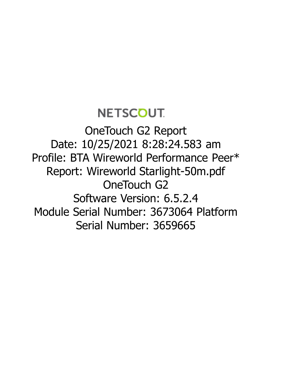## **NETSCOUT**

OneTouch G2 Report Date: 10/25/2021 8:28:24.583 am Profile: BTA Wireworld Performance Peer\* Report: Wireworld Starlight-50m.pdf OneTouch G<sub>2</sub> Software Version: 6.5.2.4 Module Serial Number: 3673064 Platform Serial Number: 3659665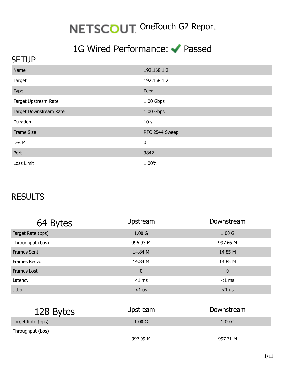### 1G Wired Performance: Passed

#### **SETUP**

| Name                   | 192.168.1.2     |
|------------------------|-----------------|
| Target                 | 192.168.1.2     |
| Type                   | Peer            |
| Target Upstream Rate   | 1.00 Gbps       |
| Target Downstream Rate | 1.00 Gbps       |
| Duration               | 10 <sub>s</sub> |
| <b>Frame Size</b>      | RFC 2544 Sweep  |
| <b>DSCP</b>            | $\bf{0}$        |
| Port                   | 3842            |
| Loss Limit             | 1.00%           |

#### **RESULTS**

| 64 Bytes           | Upstream          | Downstream        |
|--------------------|-------------------|-------------------|
| Target Rate (bps)  | 1.00 <sub>G</sub> | 1.00 <sub>G</sub> |
| Throughput (bps)   | 996.93 M          | 997.66 M          |
| <b>Frames Sent</b> | 14.84 M           | 14.85 M           |
| Frames Recvd       | 14.84 M           | 14.85 M           |
| <b>Frames Lost</b> | $\pmb{0}$         | $\mathbf 0$       |
| Latency            | $<$ 1 ms          | $<$ 1 ms          |
| <b>Jitter</b>      | $<$ 1 us          | $<$ 1 us          |

| 128 Bytes         | Upstream          | Downstream        |
|-------------------|-------------------|-------------------|
| Target Rate (bps) | 1.00 <sub>G</sub> | 1.00 <sub>G</sub> |
| Throughput (bps)  |                   |                   |
|                   | 997.09 M          | 997.71 M          |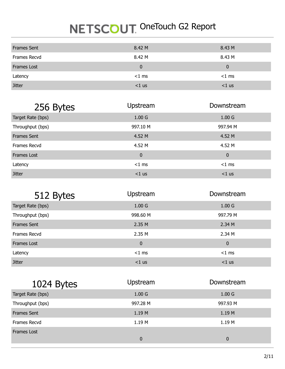| <b>Frames Sent</b> | 8.42 M       | 8.43 M   |
|--------------------|--------------|----------|
| Frames Recvd       | 8.42 M       | 8.43 M   |
| Frames Lost        | $\mathbf{0}$ | 0        |
| Latency            | $<$ 1 ms     | $<$ 1 ms |
| <b>Jitter</b>      | $<$ 1 us     | $<$ 1 us |

| 256 Bytes          | Upstream          | Downstream        |
|--------------------|-------------------|-------------------|
| Target Rate (bps)  | 1.00 <sub>G</sub> | 1.00 <sub>G</sub> |
| Throughput (bps)   | 997.10 M          | 997.94 M          |
| <b>Frames Sent</b> | 4.52 M            | 4.52 M            |
| Frames Recvd       | 4.52 M            | 4.52 M            |
| <b>Frames Lost</b> | 0                 | $\mathbf 0$       |
| Latency            | $<$ 1 ms          | $<$ 1 ms          |
| <b>Jitter</b>      | $<$ 1 us          | $<$ 1 us          |

| 512 Bytes          | Upstream          | Downstream        |  |
|--------------------|-------------------|-------------------|--|
| Target Rate (bps)  | 1.00 <sub>G</sub> | 1.00 <sub>G</sub> |  |
| Throughput (bps)   | 998.60 M          | 997.79 M          |  |
| <b>Frames Sent</b> | 2.35 M            | 2.34 M            |  |
| Frames Recvd       | 2.35 M            | 2.34 M            |  |
| Frames Lost        | $\pmb{0}$         | $\mathbf 0$       |  |
| Latency            | $<$ 1 ms          | $<$ 1 ms          |  |
| <b>Jitter</b>      | $<$ 1 us          | $<$ 1 us          |  |

| 1024 Bytes         | <b>Upstream</b>   | Downstream        |  |
|--------------------|-------------------|-------------------|--|
| Target Rate (bps)  | 1.00 <sub>G</sub> | 1.00 <sub>G</sub> |  |
| Throughput (bps)   | 997.28 M          | 997.93 M          |  |
| <b>Frames Sent</b> | 1.19 M            | 1.19 M            |  |
| Frames Recvd       | 1.19M             | 1.19 M            |  |
| <b>Frames Lost</b> |                   |                   |  |
|                    | 0                 | $\mathbf{0}$      |  |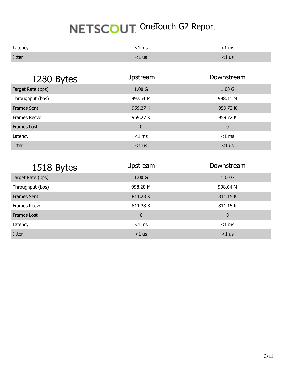| Latency       | <1 ms | :1 ms |
|---------------|-------|-------|
| <b>Jitter</b> | ∶1 us | ∶1 us |

| 1280 Bytes         | Upstream          | Downstream        |  |
|--------------------|-------------------|-------------------|--|
| Target Rate (bps)  | 1.00 <sub>G</sub> | 1.00 <sub>G</sub> |  |
| Throughput (bps)   | 997.64 M          | 998.11 M          |  |
| <b>Frames Sent</b> | 959.27 K          | 959.72 K          |  |
| Frames Recvd       | 959.27 K          | 959.72 K          |  |
| Frames Lost        | $\mathbf 0$       | $\mathbf 0$       |  |
| Latency            | $<$ 1 ms          | $<$ 1 ms          |  |
| <b>Jitter</b>      | $<$ 1 us          | $<$ 1 us          |  |

| 1518 Bytes         | Upstream          | Downstream        |
|--------------------|-------------------|-------------------|
| Target Rate (bps)  | 1.00 <sub>G</sub> | 1.00 <sub>G</sub> |
| Throughput (bps)   | 998.20 M          | 998.04 M          |
| <b>Frames Sent</b> | 811.28 K          | 811.15 K          |
| Frames Recvd       | 811.28 K          | 811.15 K          |
| <b>Frames Lost</b> | $\pmb{0}$         | $\mathbf 0$       |
| Latency            | $<$ 1 ms          | $<$ 1 ms          |
| <b>Jitter</b>      | $<$ 1 us          | $<$ 1 us          |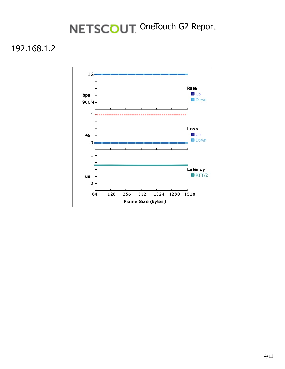#### 192.168.1.2

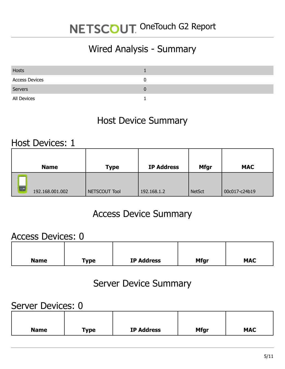### Wired Analysis - Summary

| <b>Hosts</b>          |  |
|-----------------------|--|
| <b>Access Devices</b> |  |
| Servers               |  |
| All Devices           |  |

#### Host Device Summary

#### Host Devices: 1

| <b>Name</b>     | <b>Type</b>   | <b>IP Address</b> | <b>Mfgr</b>   | <b>MAC</b>    |
|-----------------|---------------|-------------------|---------------|---------------|
| 192.168.001.002 | NETSCOUT Tool | 192.168.1.2       | <b>NetSct</b> | 00c017-c24b19 |

#### Access Device Summary

#### Access Devices: 0

| <b>Name</b> | <b>Type</b> | <b>IP Address</b> | <b>Mfgr</b> | <b>MAC</b> |
|-------------|-------------|-------------------|-------------|------------|

#### Server Device Summary

#### Server Devices: 0

| <b>Name</b> | <b>Type</b> | <b>IP Address</b> | <b>Mfgr</b> | <b>MAC</b> |  |
|-------------|-------------|-------------------|-------------|------------|--|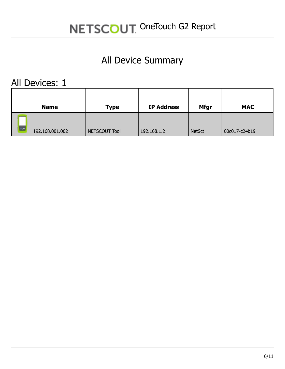## All Device Summary

All Devices: 1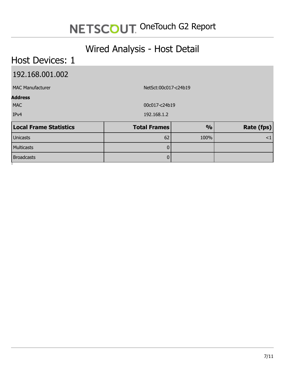#### Wired Analysis - Host Detail

#### Host Devices: 1 192.168.001.002 MAC Manufacturer NetSct:00c017-c24b19 **Address** MAC 00c017-c24b19 IPv4 192.168.1.2 **Local Frame Statistics Total Frames % Rate (fps)** Unicasts 62 100% <1 Multicasts 0 Broadcasts 0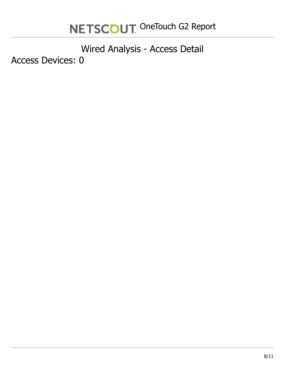Wired Analysis - Access Detail Access Devices: 0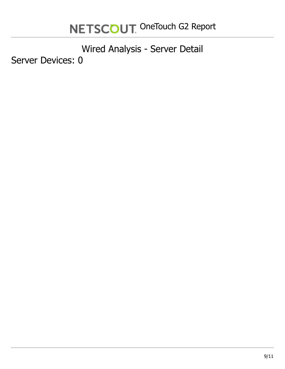Wired Analysis - Server Detail Server Devices: 0